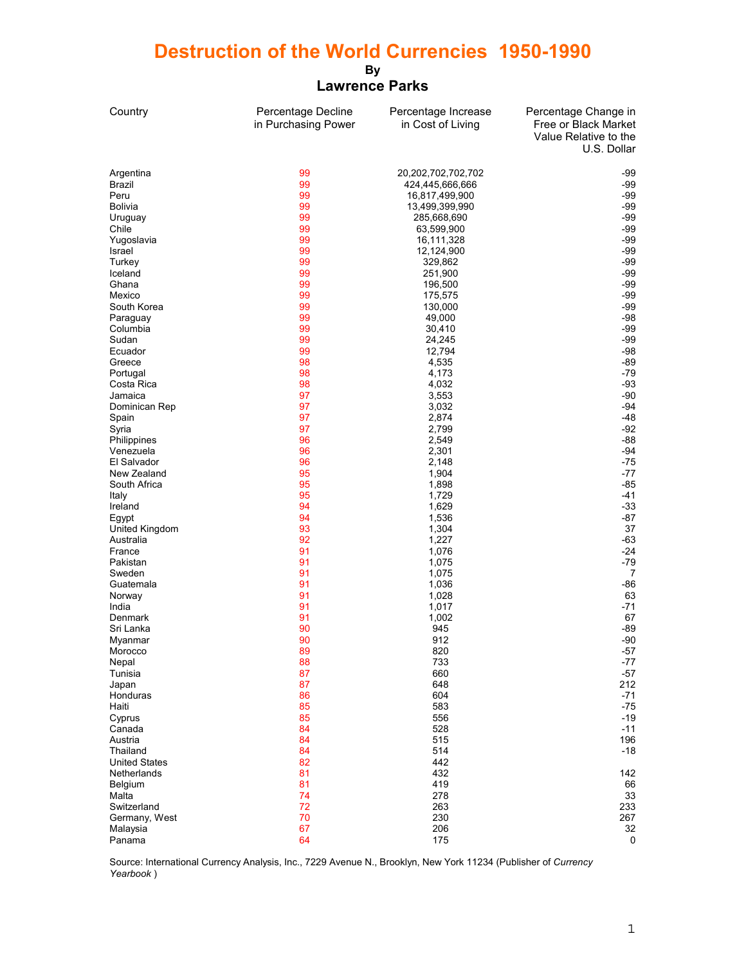## **Destruction of the World Currencies 1950-1990**

## **By Lawrence Parks**

| Country                 | Percentage Decline<br>in Purchasing Power | Percentage Increase<br>in Cost of Living | Percentage Change in<br>Free or Black Market<br>Value Relative to the<br>U.S. Dollar |
|-------------------------|-------------------------------------------|------------------------------------------|--------------------------------------------------------------------------------------|
| Argentina               | 99                                        | 20,202,702,702,702                       | -99                                                                                  |
| Brazil                  | 99                                        | 424,445,666,666                          | -99                                                                                  |
| Peru                    | 99                                        | 16,817,499,900                           | -99                                                                                  |
| <b>Bolivia</b>          | 99                                        | 13,499,399,990                           | -99                                                                                  |
| Uruguay                 | 99                                        | 285,668,690                              | -99                                                                                  |
| Chile                   | 99                                        | 63,599,900                               | -99                                                                                  |
| Yugoslavia              | 99                                        | 16,111,328                               | $-99$                                                                                |
| Israel                  | 99                                        | 12,124,900                               | -99                                                                                  |
| Turkey                  | 99                                        | 329,862                                  | -99                                                                                  |
| Iceland                 | 99                                        | 251,900                                  | -99                                                                                  |
| Ghana                   | 99                                        | 196,500                                  | -99                                                                                  |
| Mexico                  | 99                                        | 175,575                                  | -99                                                                                  |
| South Korea             | 99<br>99                                  | 130,000                                  | -99<br>-98                                                                           |
| Paraguay<br>Columbia    | 99                                        | 49,000<br>30,410                         | -99                                                                                  |
| Sudan                   | 99                                        | 24,245                                   | -99                                                                                  |
| Ecuador                 | 99                                        | 12,794                                   | $-98$                                                                                |
| Greece                  | 98                                        | 4,535                                    | -89                                                                                  |
| Portugal                | 98                                        | 4,173                                    | -79                                                                                  |
| Costa Rica              | 98                                        | 4,032                                    | $-93$                                                                                |
| Jamaica                 | 97                                        | 3,553                                    | $-90$                                                                                |
| Dominican Rep           | 97                                        | 3,032                                    | $-94$                                                                                |
| Spain                   | 97                                        | 2,874                                    | -48                                                                                  |
| Syria                   | 97                                        | 2,799                                    | -92                                                                                  |
| Philippines             | 96                                        | 2,549                                    | -88                                                                                  |
| Venezuela               | 96                                        | 2,301                                    | $-94$                                                                                |
| El Salvador             | 96                                        | 2,148                                    | -75                                                                                  |
| New Zealand             | 95                                        | 1,904                                    | -77                                                                                  |
| South Africa            | 95                                        | 1,898                                    | -85                                                                                  |
| Italy                   | 95<br>94                                  | 1,729                                    | -41<br>$-33$                                                                         |
| Ireland                 | 94                                        | 1,629<br>1,536                           | $-87$                                                                                |
| Egypt<br>United Kingdom | 93                                        | 1,304                                    | 37                                                                                   |
| Australia               | 92                                        | 1,227                                    | $-63$                                                                                |
| France                  | 91                                        | 1,076                                    | $-24$                                                                                |
| Pakistan                | 91                                        | 1,075                                    | -79                                                                                  |
| Sweden                  | 91                                        | 1,075                                    | 7                                                                                    |
| Guatemala               | 91                                        | 1,036                                    | -86                                                                                  |
| Norway                  | 91                                        | 1,028                                    | 63                                                                                   |
| India                   | 91                                        | 1,017                                    | -71                                                                                  |
| Denmark                 | 91                                        | 1,002                                    | 67                                                                                   |
| Sri Lanka               | 90                                        | 945                                      | -89                                                                                  |
| Myanmar                 | 90                                        | 912                                      | -90                                                                                  |
| Morocco                 | 89                                        | 820                                      | $-57$                                                                                |
| Nepal<br>Tunisia        | 88<br>87                                  | 733<br>660                               | $-77$<br>$-57$                                                                       |
| Japan                   | 87                                        | 648                                      | 212                                                                                  |
| Honduras                | 86                                        | 604                                      | $-71$                                                                                |
| Haiti                   | 85                                        | 583                                      | $-75$                                                                                |
| Cyprus                  | 85                                        | 556                                      | -19                                                                                  |
| Canada                  | 84                                        | 528                                      | $-11$                                                                                |
| Austria                 | 84                                        | 515                                      | 196                                                                                  |
| Thailand                | 84                                        | 514                                      | $-18$                                                                                |
| <b>United States</b>    | 82                                        | 442                                      |                                                                                      |
| Netherlands             | 81                                        | 432                                      | 142                                                                                  |
| Belgium                 | 81                                        | 419                                      | 66                                                                                   |
| Malta                   | 74                                        | 278                                      | 33                                                                                   |
| Switzerland             | 72                                        | 263                                      | 233                                                                                  |
| Germany, West           | 70                                        | 230                                      | 267                                                                                  |
| Malaysia                | 67<br>64                                  | 206<br>175                               | 32<br>0                                                                              |
| Panama                  |                                           |                                          |                                                                                      |

Source: International Currency Analysis, Inc., 7229 Avenue N., Brooklyn, New York 11234 (Publisher of *Currency Yearbook* )